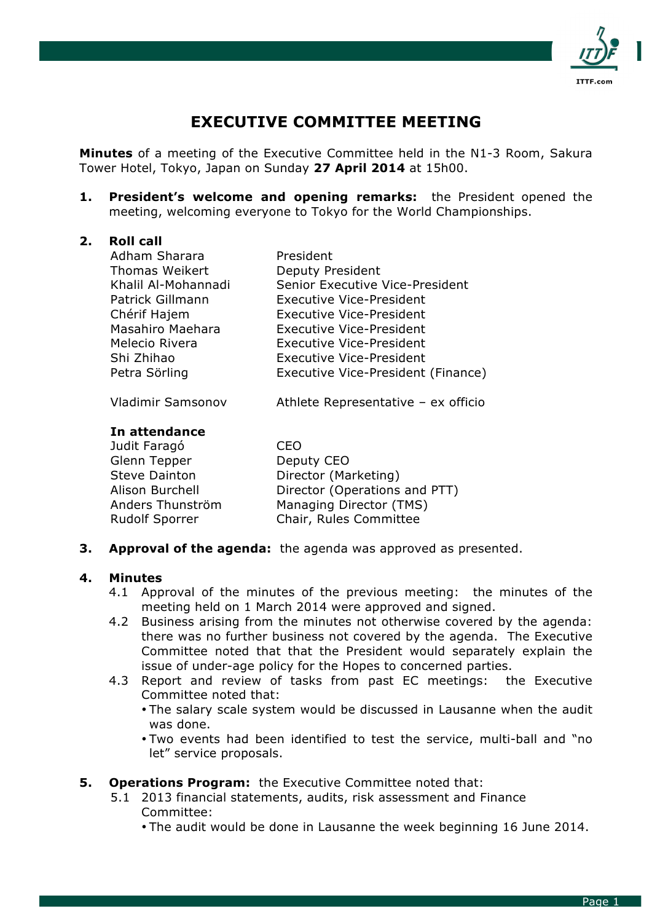

# **EXECUTIVE COMMITTEE MEETING**

**Minutes** of a meeting of the Executive Committee held in the N1-3 Room, Sakura Tower Hotel, Tokyo, Japan on Sunday **27 April 2014** at 15h00.

**1. President's welcome and opening remarks:** the President opened the meeting, welcoming everyone to Tokyo for the World Championships.

### **2. Roll call**

| Adham Sharara            | President                           |
|--------------------------|-------------------------------------|
| Thomas Weikert           | Deputy President                    |
| Khalil Al-Mohannadi      | Senior Executive Vice-President     |
| Patrick Gillmann         | <b>Executive Vice-President</b>     |
| Chérif Hajem             | <b>Executive Vice-President</b>     |
| Masahiro Maehara         | Executive Vice-President            |
| Melecio Rivera           | Executive Vice-President            |
| Shi Zhihao               | <b>Executive Vice-President</b>     |
| Petra Sörling            | Executive Vice-President (Finance)  |
| <b>Vladimir Samsonov</b> | Athlete Representative - ex officio |

# **In attendance**

| Judit Faragó           | CEO                           |
|------------------------|-------------------------------|
| Glenn Tepper           | Deputy CEO                    |
| <b>Steve Dainton</b>   | Director (Marketing)          |
| <b>Alison Burchell</b> | Director (Operations and PTT) |
| Anders Thunström       | Managing Director (TMS)       |
| <b>Rudolf Sporrer</b>  | Chair, Rules Committee        |

**3. Approval of the agenda:** the agenda was approved as presented.

#### **4. Minutes**

- 4.1 Approval of the minutes of the previous meeting: the minutes of the meeting held on 1 March 2014 were approved and signed.
- 4.2 Business arising from the minutes not otherwise covered by the agenda: there was no further business not covered by the agenda. The Executive Committee noted that that the President would separately explain the issue of under-age policy for the Hopes to concerned parties.
- 4.3 Report and review of tasks from past EC meetings: the Executive Committee noted that:
	- The salary scale system would be discussed in Lausanne when the audit was done.
	- Two events had been identified to test the service, multi-ball and "no let" service proposals.

# **5. Operations Program:** the Executive Committee noted that:

- 5.1 2013 financial statements, audits, risk assessment and Finance Committee:
	- The audit would be done in Lausanne the week beginning 16 June 2014.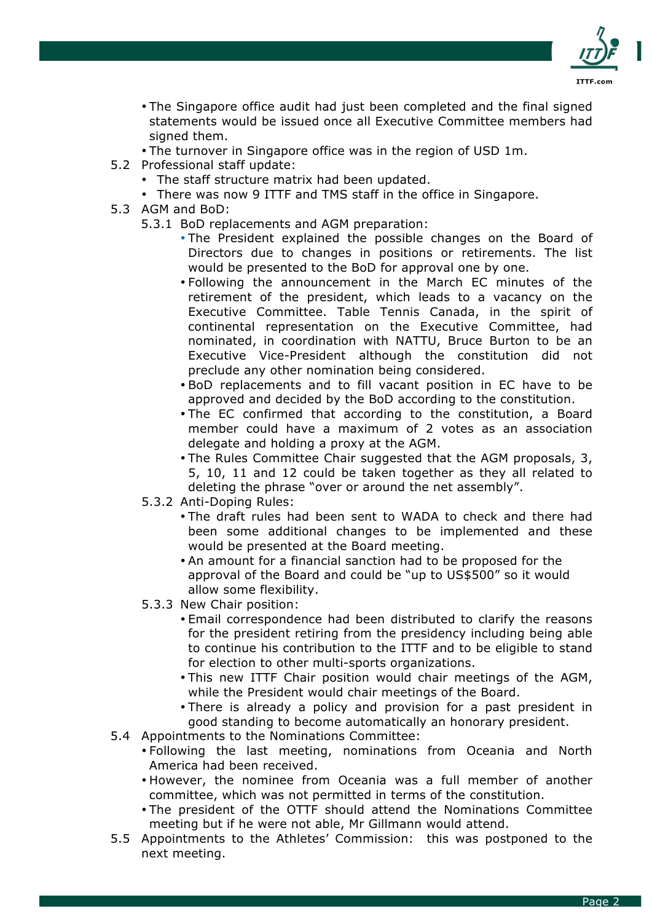

- The Singapore office audit had just been completed and the final signed statements would be issued once all Executive Committee members had signed them.
- The turnover in Singapore office was in the region of USD 1m.
- 5.2 Professional staff update:
	- The staff structure matrix had been updated.
	- There was now 9 ITTF and TMS staff in the office in Singapore.
- 5.3 AGM and BoD:
	- 5.3.1 BoD replacements and AGM preparation:
		- The President explained the possible changes on the Board of Directors due to changes in positions or retirements. The list would be presented to the BoD for approval one by one.
		- Following the announcement in the March EC minutes of the retirement of the president, which leads to a vacancy on the Executive Committee. Table Tennis Canada, in the spirit of continental representation on the Executive Committee, had nominated, in coordination with NATTU, Bruce Burton to be an Executive Vice-President although the constitution did not preclude any other nomination being considered.
		- BoD replacements and to fill vacant position in EC have to be approved and decided by the BoD according to the constitution.
		- The EC confirmed that according to the constitution, a Board member could have a maximum of 2 votes as an association delegate and holding a proxy at the AGM.
		- The Rules Committee Chair suggested that the AGM proposals, 3, 5, 10, 11 and 12 could be taken together as they all related to deleting the phrase "over or around the net assembly".
	- 5.3.2 Anti-Doping Rules:
		- The draft rules had been sent to WADA to check and there had been some additional changes to be implemented and these would be presented at the Board meeting.
		- An amount for a financial sanction had to be proposed for the approval of the Board and could be "up to US\$500" so it would allow some flexibility.
	- 5.3.3 New Chair position:
		- Email correspondence had been distributed to clarify the reasons for the president retiring from the presidency including being able to continue his contribution to the ITTF and to be eligible to stand for election to other multi-sports organizations.
		- This new ITTF Chair position would chair meetings of the AGM, while the President would chair meetings of the Board.
		- There is already a policy and provision for a past president in good standing to become automatically an honorary president.
- 5.4 Appointments to the Nominations Committee:
	- Following the last meeting, nominations from Oceania and North America had been received.
	- However, the nominee from Oceania was a full member of another committee, which was not permitted in terms of the constitution.
	- The president of the OTTF should attend the Nominations Committee meeting but if he were not able, Mr Gillmann would attend.
- 5.5 Appointments to the Athletes' Commission: this was postponed to the next meeting.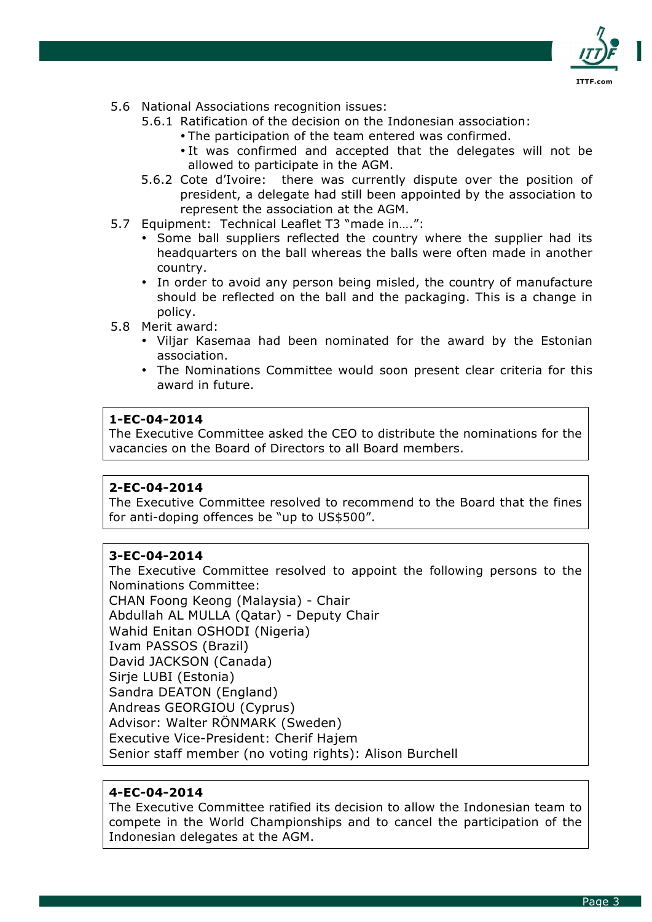

- 5.6 National Associations recognition issues:
	- 5.6.1 Ratification of the decision on the Indonesian association:
		- The participation of the team entered was confirmed.
		- It was confirmed and accepted that the delegates will not be allowed to participate in the AGM.
	- 5.6.2 Cote d'Ivoire: there was currently dispute over the position of president, a delegate had still been appointed by the association to represent the association at the AGM.
- 5.7 Equipment: Technical Leaflet T3 "made in….":
	- Some ball suppliers reflected the country where the supplier had its headquarters on the ball whereas the balls were often made in another country.
	- In order to avoid any person being misled, the country of manufacture should be reflected on the ball and the packaging. This is a change in policy.
- 5.8 Merit award:
	- Viljar Kasemaa had been nominated for the award by the Estonian association.
	- The Nominations Committee would soon present clear criteria for this award in future.

The Executive Committee asked the CEO to distribute the nominations for the vacancies on the Board of Directors to all Board members.

### **2-EC-04-2014**

The Executive Committee resolved to recommend to the Board that the fines for anti-doping offences be "up to US\$500".

### **3-EC-04-2014**

The Executive Committee resolved to appoint the following persons to the Nominations Committee:

CHAN Foong Keong (Malaysia) - Chair Abdullah AL MULLA (Qatar) - Deputy Chair Wahid Enitan OSHODI (Nigeria) Ivam PASSOS (Brazil) David JACKSON (Canada) Sirje LUBI (Estonia) Sandra DEATON (England) Andreas GEORGIOU (Cyprus) Advisor: Walter RÖNMARK (Sweden) Executive Vice-President: Cherif Hajem Senior staff member (no voting rights): Alison Burchell

### **4-EC-04-2014**

The Executive Committee ratified its decision to allow the Indonesian team to compete in the World Championships and to cancel the participation of the Indonesian delegates at the AGM.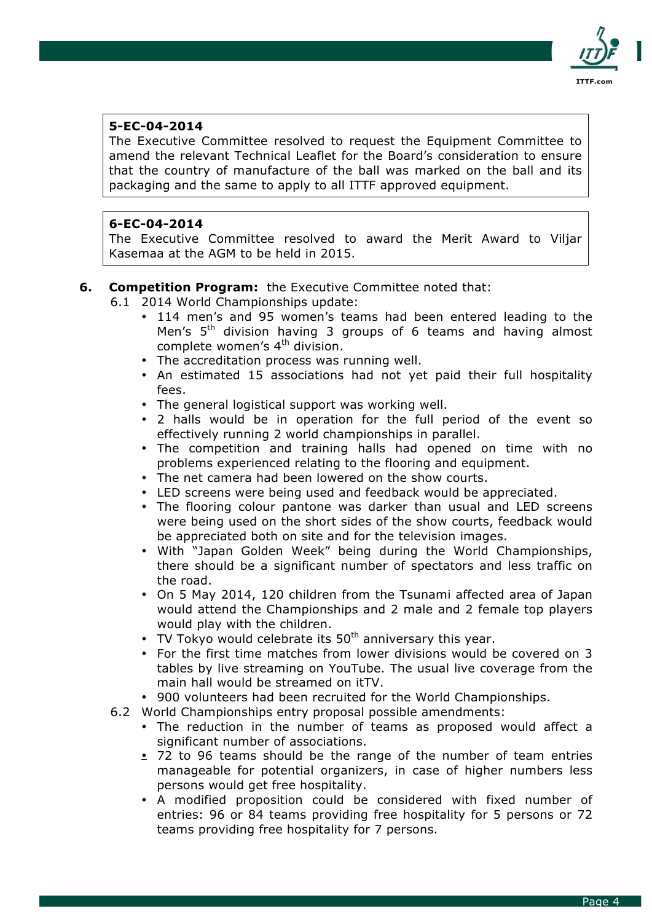

The Executive Committee resolved to request the Equipment Committee to amend the relevant Technical Leaflet for the Board's consideration to ensure that the country of manufacture of the ball was marked on the ball and its packaging and the same to apply to all ITTF approved equipment.

# **6-EC-04-2014**

The Executive Committee resolved to award the Merit Award to Viljar Kasemaa at the AGM to be held in 2015.

## **6. Competition Program:** the Executive Committee noted that:

- 6.1 2014 World Championships update:
	- 114 men's and 95 women's teams had been entered leading to the Men's  $5<sup>th</sup>$  division having 3 groups of 6 teams and having almost complete women's  $4<sup>th</sup>$  division.
	- The accreditation process was running well.
	- An estimated 15 associations had not yet paid their full hospitality fees.
	- The general logistical support was working well.
	- 2 halls would be in operation for the full period of the event so effectively running 2 world championships in parallel.
	- The competition and training halls had opened on time with no problems experienced relating to the flooring and equipment.
	- The net camera had been lowered on the show courts.
	- LED screens were being used and feedback would be appreciated.
	- The flooring colour pantone was darker than usual and LED screens were being used on the short sides of the show courts, feedback would be appreciated both on site and for the television images.
	- With "Japan Golden Week" being during the World Championships, there should be a significant number of spectators and less traffic on the road.
	- On 5 May 2014, 120 children from the Tsunami affected area of Japan would attend the Championships and 2 male and 2 female top players would play with the children.
	- TV Tokyo would celebrate its  $50<sup>th</sup>$  anniversary this year.
	- For the first time matches from lower divisions would be covered on 3 tables by live streaming on YouTube. The usual live coverage from the main hall would be streamed on itTV.
	- 900 volunteers had been recruited for the World Championships.
- 6.2 World Championships entry proposal possible amendments:
	- The reduction in the number of teams as proposed would affect a significant number of associations.
	- 72 to 96 teams should be the range of the number of team entries manageable for potential organizers, in case of higher numbers less persons would get free hospitality.
	- A modified proposition could be considered with fixed number of entries: 96 or 84 teams providing free hospitality for 5 persons or 72 teams providing free hospitality for 7 persons.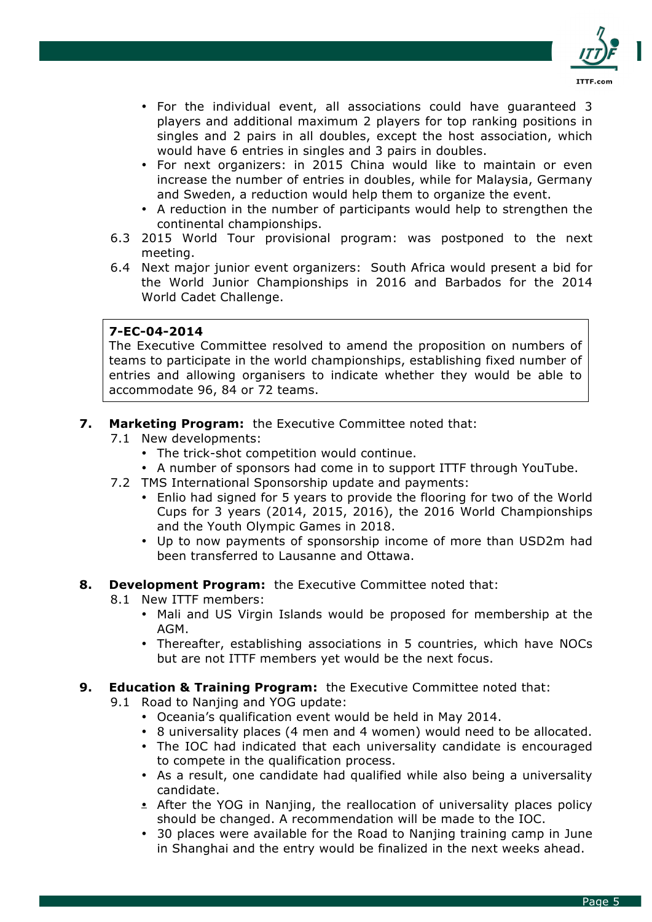

- For the individual event, all associations could have guaranteed 3 players and additional maximum 2 players for top ranking positions in singles and 2 pairs in all doubles, except the host association, which would have 6 entries in singles and 3 pairs in doubles.
- For next organizers: in 2015 China would like to maintain or even increase the number of entries in doubles, while for Malaysia, Germany and Sweden, a reduction would help them to organize the event.
- A reduction in the number of participants would help to strengthen the continental championships.
- 6.3 2015 World Tour provisional program: was postponed to the next meeting.
- 6.4 Next major junior event organizers: South Africa would present a bid for the World Junior Championships in 2016 and Barbados for the 2014 World Cadet Challenge.

The Executive Committee resolved to amend the proposition on numbers of teams to participate in the world championships, establishing fixed number of entries and allowing organisers to indicate whether they would be able to accommodate 96, 84 or 72 teams.

## **7. Marketing Program:** the Executive Committee noted that:

- 7.1 New developments:
	- The trick-shot competition would continue.
	- A number of sponsors had come in to support ITTF through YouTube.
- 7.2 TMS International Sponsorship update and payments:
	- Enlio had signed for 5 years to provide the flooring for two of the World Cups for 3 years (2014, 2015, 2016), the 2016 World Championships and the Youth Olympic Games in 2018.
	- Up to now payments of sponsorship income of more than USD2m had been transferred to Lausanne and Ottawa.

### **8. Development Program:** the Executive Committee noted that:

- 8.1 New ITTF members:
	- Mali and US Virgin Islands would be proposed for membership at the AGM.
	- Thereafter, establishing associations in 5 countries, which have NOCs but are not ITTF members yet would be the next focus.

### **9. Education & Training Program:** the Executive Committee noted that:

- 9.1 Road to Nanjing and YOG update:
	- Oceania's qualification event would be held in May 2014.
	- 8 universality places (4 men and 4 women) would need to be allocated.
	- The IOC had indicated that each universality candidate is encouraged to compete in the qualification process.
	- As a result, one candidate had qualified while also being a universality candidate.
	- After the YOG in Nanjing, the reallocation of universality places policy should be changed. A recommendation will be made to the IOC.
	- 30 places were available for the Road to Nanjing training camp in June in Shanghai and the entry would be finalized in the next weeks ahead.